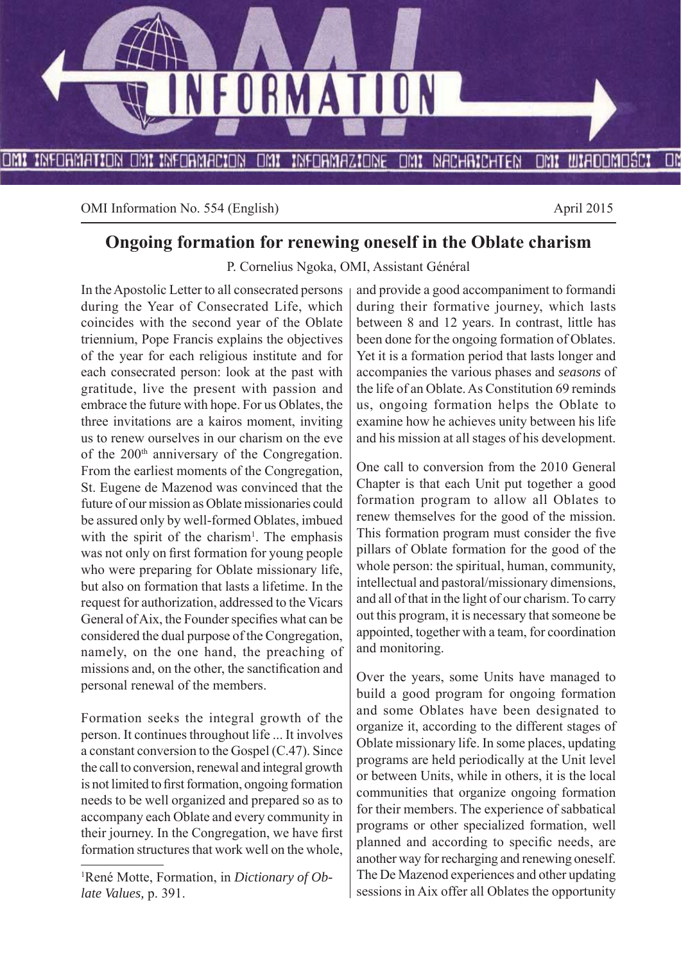

OMI Information No. 554 (English) April 2015

# **Ongoing formation for renewing oneself in the Oblate charism**

P. Cornelius Ngoka, OMI, Assistant Général

In the Apostolic Letter to all consecrated persons during the Year of Consecrated Life, which coincides with the second year of the Oblate triennium, Pope Francis explains the objectives of the year for each religious institute and for each consecrated person: look at the past with gratitude, live the present with passion and embrace the future with hope. For us Oblates, the three invitations are a kairos moment, inviting us to renew ourselves in our charism on the eve of the 200th anniversary of the Congregation. From the earliest moments of the Congregation, St. Eugene de Mazenod was convinced that the future of our mission as Oblate missionaries could be assured only by well-formed Oblates, imbued with the spirit of the charism<sup>1</sup>. The emphasis was not only on first formation for young people who were preparing for Oblate missionary life, but also on formation that lasts a lifetime. In the request for authorization, addressed to the Vicars General of Aix, the Founder specifies what can be considered the dual purpose of the Congregation, namely, on the one hand, the preaching of missions and, on the other, the sanctification and personal renewal of the members.

Formation seeks the integral growth of the person. It continues throughout life ... It involves a constant conversion to the Gospel (C.47). Since the call to conversion, renewal and integral growth is not limited to first formation, ongoing formation needs to be well organized and prepared so as to accompany each Oblate and every community in their journey. In the Congregation, we have first formation structures that work well on the whole, and provide a good accompaniment to formandi during their formative journey, which lasts between 8 and 12 years. In contrast, little has been done for the ongoing formation of Oblates. Yet it is a formation period that lasts longer and accompanies the various phases and *seasons* of the life of an Oblate. As Constitution 69 reminds us, ongoing formation helps the Oblate to examine how he achieves unity between his life and his mission at all stages of his development.

One call to conversion from the 2010 General Chapter is that each Unit put together a good formation program to allow all Oblates to renew themselves for the good of the mission. This formation program must consider the five pillars of Oblate formation for the good of the whole person: the spiritual, human, community, intellectual and pastoral/missionary dimensions, and all of that in the light of our charism. To carry out this program, it is necessary that someone be appointed, together with a team, for coordination and monitoring.

Over the years, some Units have managed to build a good program for ongoing formation and some Oblates have been designated to organize it, according to the different stages of Oblate missionary life. In some places, updating programs are held periodically at the Unit level or between Units, while in others, it is the local communities that organize ongoing formation for their members. The experience of sabbatical programs or other specialized formation, well planned and according to specific needs, are another way for recharging and renewing oneself. The De Mazenod experiences and other updating sessions in Aix offer all Oblates the opportunity

<sup>1</sup> René Motte, Formation, in *Dictionary of Oblate Values,* p. 391.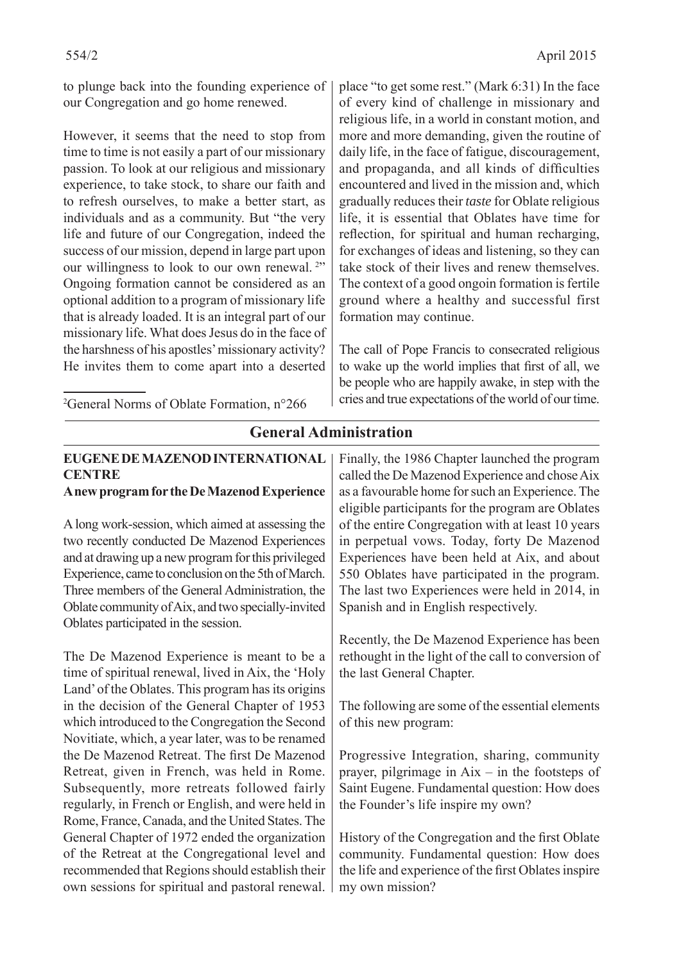to plunge back into the founding experience of our Congregation and go home renewed.

However, it seems that the need to stop from time to time is not easily a part of our missionary passion. To look at our religious and missionary experience, to take stock, to share our faith and to refresh ourselves, to make a better start, as individuals and as a community. But "the very life and future of our Congregation, indeed the success of our mission, depend in large part upon our willingness to look to our own renewal.<sup>2"</sup> Ongoing formation cannot be considered as an optional addition to a program of missionary life that is already loaded. It is an integral part of our missionary life. What does Jesus do in the face of the harshness of his apostles' missionary activity? He invites them to come apart into a deserted place "to get some rest." (Mark 6:31) In the face of every kind of challenge in missionary and religious life, in a world in constant motion, and more and more demanding, given the routine of daily life, in the face of fatigue, discouragement, and propaganda, and all kinds of difficulties encountered and lived in the mission and, which gradually reduces their *taste* for Oblate religious life, it is essential that Oblates have time for reflection, for spiritual and human recharging, for exchanges of ideas and listening, so they can take stock of their lives and renew themselves. The context of a good ongoin formation is fertile ground where a healthy and successful first formation may continue.

The call of Pope Francis to consecrated religious to wake up the world implies that first of all, we be people who are happily awake, in step with the cries and true expectations of the world of our time.

2 General Norms of Oblate Formation, n°266

## **EUGENE DE MAZENOD INTERNATIONAL CENTRE A new program for the De Mazenod Experience** A long work-session, which aimed at assessing the two recently conducted De Mazenod Experiences and at drawing up a new program for this privileged Experience, came to conclusion on the 5th of March. Three members of the General Administration, the Oblate community of Aix, and two specially-invited Oblates participated in the session. The De Mazenod Experience is meant to be a time of spiritual renewal, lived in Aix, the 'Holy Land' of the Oblates. This program has its origins in the decision of the General Chapter of 1953 which introduced to the Congregation the Second Novitiate, which, a year later, was to be renamed the De Mazenod Retreat. The first De Mazenod Retreat, given in French, was held in Rome. Subsequently, more retreats followed fairly regularly, in French or English, and were held in Rome, France, Canada, and the United States. The General Chapter of 1972 ended the organization of the Retreat at the Congregational level and recommended that Regions should establish their own sessions for spiritual and pastoral renewal. of this new program: my own mission?

## **General Administration**

Finally, the 1986 Chapter launched the program called the De Mazenod Experience and chose Aix as a favourable home for such an Experience. The eligible participants for the program are Oblates of the entire Congregation with at least 10 years in perpetual vows. Today, forty De Mazenod Experiences have been held at Aix, and about 550 Oblates have participated in the program. The last two Experiences were held in 2014, in Spanish and in English respectively.

Recently, the De Mazenod Experience has been rethought in the light of the call to conversion of the last General Chapter.

The following are some of the essential elements

Progressive Integration, sharing, community prayer, pilgrimage in Aix – in the footsteps of Saint Eugene. Fundamental question: How does the Founder's life inspire my own?

History of the Congregation and the first Oblate community. Fundamental question: How does the life and experience of the first Oblates inspire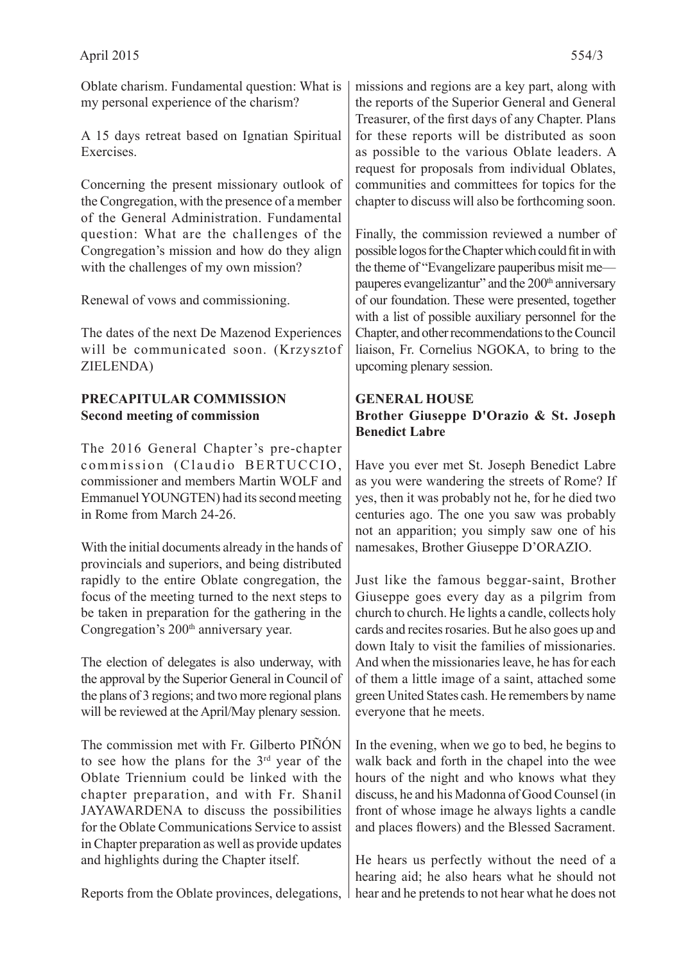Oblate charism. Fundamental question: What is my personal experience of the charism?

A 15 days retreat based on Ignatian Spiritual **Exercises** 

Concerning the present missionary outlook of the Congregation, with the presence of a member of the General Administration. Fundamental question: What are the challenges of the Congregation's mission and how do they align with the challenges of my own mission?

Renewal of vows and commissioning.

The dates of the next De Mazenod Experiences will be communicated soon. (Krzysztof ZIELENDA)

#### **PRECAPITULAR COMMISSION Second meeting of commission**

The 2016 General Chapter's pre-chapter commission (Claudio BERTUCCIO, commissioner and members Martin WOLF and Emmanuel YOUNGTEN) had its second meeting in Rome from March 24-26.

With the initial documents already in the hands of provincials and superiors, and being distributed rapidly to the entire Oblate congregation, the focus of the meeting turned to the next steps to be taken in preparation for the gathering in the Congregation's 200<sup>th</sup> anniversary year.

The election of delegates is also underway, with the approval by the Superior General in Council of the plans of 3 regions; and two more regional plans will be reviewed at the April/May plenary session.

The commission met with Fr. Gilberto PIÑÓN to see how the plans for the 3rd year of the Oblate Triennium could be linked with the chapter preparation, and with Fr. Shanil JAYAWARDENA to discuss the possibilities for the Oblate Communications Service to assist in Chapter preparation as well as provide updates and highlights during the Chapter itself.

Reports from the Oblate provinces, delegations,

missions and regions are a key part, along with the reports of the Superior General and General Treasurer, of the first days of any Chapter. Plans for these reports will be distributed as soon as possible to the various Oblate leaders. A request for proposals from individual Oblates, communities and committees for topics for the chapter to discuss will also be forthcoming soon.

Finally, the commission reviewed a number of possible logos for the Chapter which could fit in with the theme of "Evangelizare pauperibus misit me pauperes evangelizantur" and the 200<sup>th</sup> anniversary of our foundation. These were presented, together with a list of possible auxiliary personnel for the Chapter, and other recommendations to the Council liaison, Fr. Cornelius NGOKA, to bring to the upcoming plenary session.

#### **GENERAL HOUSE Brother Giuseppe D'Orazio & St. Joseph Benedict Labre**

Have you ever met St. Joseph Benedict Labre as you were wandering the streets of Rome? If yes, then it was probably not he, for he died two centuries ago. The one you saw was probably not an apparition; you simply saw one of his namesakes, Brother Giuseppe D'ORAZIO.

Just like the famous beggar-saint, Brother Giuseppe goes every day as a pilgrim from church to church. He lights a candle, collects holy cards and recites rosaries. But he also goes up and down Italy to visit the families of missionaries. And when the missionaries leave, he has for each of them a little image of a saint, attached some green United States cash. He remembers by name everyone that he meets.

In the evening, when we go to bed, he begins to walk back and forth in the chapel into the wee hours of the night and who knows what they discuss, he and his Madonna of Good Counsel (in front of whose image he always lights a candle and places flowers) and the Blessed Sacrament.

He hears us perfectly without the need of a hearing aid; he also hears what he should not hear and he pretends to not hear what he does not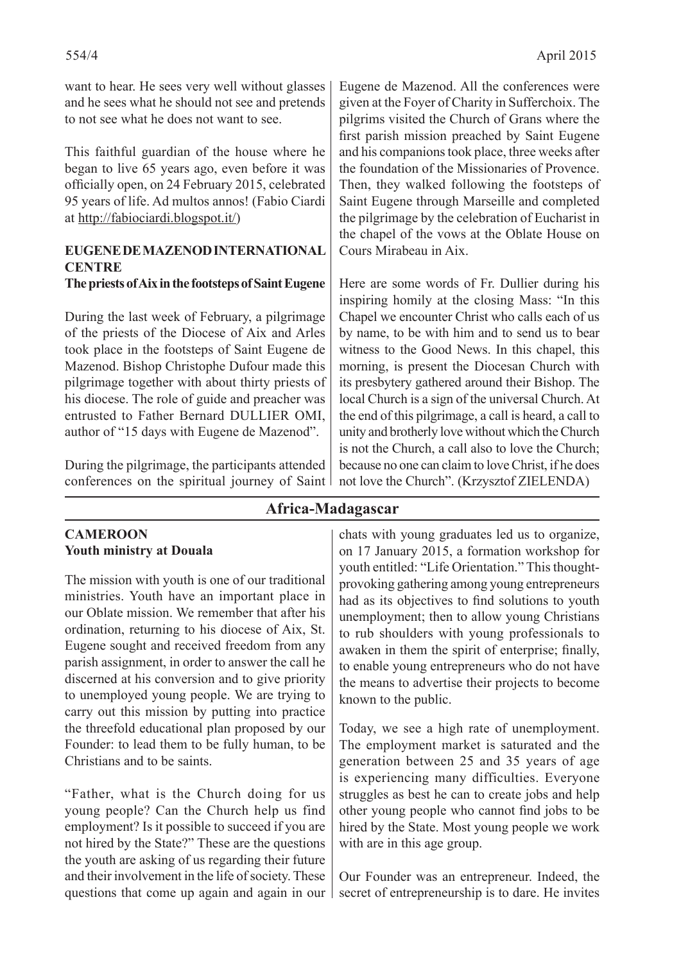want to hear. He sees very well without glasses and he sees what he should not see and pretends to not see what he does not want to see.

This faithful guardian of the house where he began to live 65 years ago, even before it was officially open, on 24 February 2015, celebrated 95 years of life. Ad multos annos! (Fabio Ciardi at http://fabiociardi.blogspot.it/)

#### **EUGENE DE MAZENOD INTERNATIONAL CENTRE**

#### **The priests of Aix in the footsteps of Saint Eugene**

During the last week of February, a pilgrimage of the priests of the Diocese of Aix and Arles took place in the footsteps of Saint Eugene de Mazenod. Bishop Christophe Dufour made this pilgrimage together with about thirty priests of his diocese. The role of guide and preacher was entrusted to Father Bernard DULLIER OMI, author of "15 days with Eugene de Mazenod".

During the pilgrimage, the participants attended conferences on the spiritual journey of Saint Eugene de Mazenod. All the conferences were given at the Foyer of Charity in Sufferchoix. The pilgrims visited the Church of Grans where the first parish mission preached by Saint Eugene and his companions took place, three weeks after the foundation of the Missionaries of Provence. Then, they walked following the footsteps of Saint Eugene through Marseille and completed the pilgrimage by the celebration of Eucharist in the chapel of the vows at the Oblate House on Cours Mirabeau in Aix.

Here are some words of Fr. Dullier during his inspiring homily at the closing Mass: "In this Chapel we encounter Christ who calls each of us by name, to be with him and to send us to bear witness to the Good News. In this chapel, this morning, is present the Diocesan Church with its presbytery gathered around their Bishop. The local Church is a sign of the universal Church. At the end of this pilgrimage, a call is heard, a call to unity and brotherly love without which the Church is not the Church, a call also to love the Church; because no one can claim to love Christ, if he does not love the Church". (Krzysztof ZIELENDA)

## **Africa-Madagascar**

#### **CAMEROON Youth ministry at Douala**

The mission with youth is one of our traditional ministries. Youth have an important place in our Oblate mission. We remember that after his ordination, returning to his diocese of Aix, St. Eugene sought and received freedom from any parish assignment, in order to answer the call he discerned at his conversion and to give priority to unemployed young people. We are trying to carry out this mission by putting into practice the threefold educational plan proposed by our Founder: to lead them to be fully human, to be Christians and to be saints.

"Father, what is the Church doing for us young people? Can the Church help us find employment? Is it possible to succeed if you are not hired by the State?" These are the questions the youth are asking of us regarding their future and their involvement in the life of society. These questions that come up again and again in our chats with young graduates led us to organize, on 17 January 2015, a formation workshop for youth entitled: "Life Orientation." This thoughtprovoking gathering among young entrepreneurs had as its objectives to find solutions to youth unemployment; then to allow young Christians to rub shoulders with young professionals to awaken in them the spirit of enterprise; finally, to enable young entrepreneurs who do not have the means to advertise their projects to become known to the public.

Today, we see a high rate of unemployment. The employment market is saturated and the generation between 25 and 35 years of age is experiencing many difficulties. Everyone struggles as best he can to create jobs and help other young people who cannot find jobs to be hired by the State. Most young people we work with are in this age group.

Our Founder was an entrepreneur. Indeed, the secret of entrepreneurship is to dare. He invites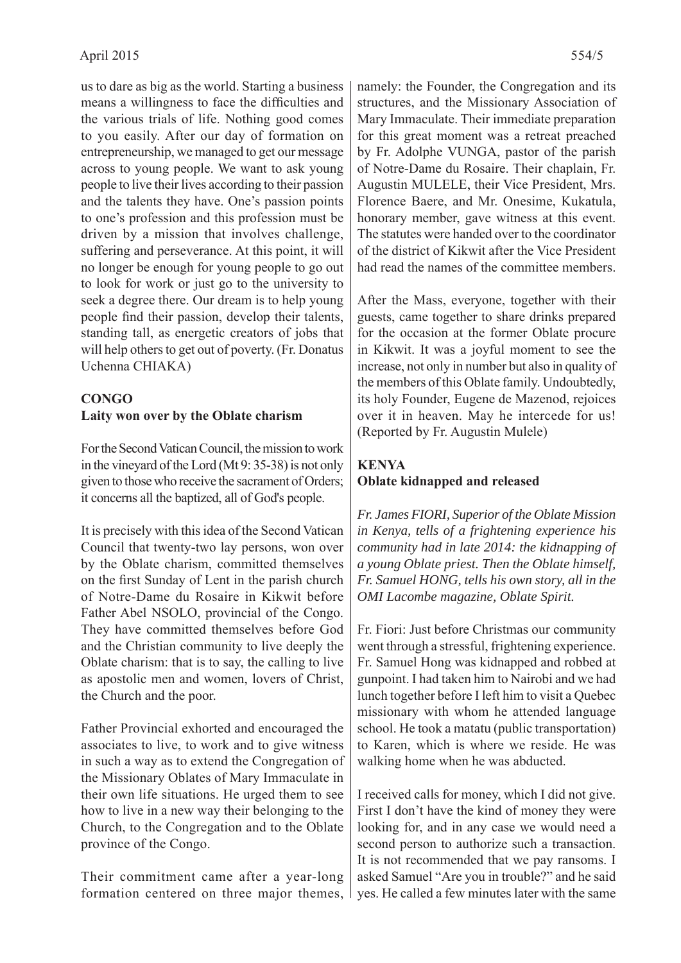us to dare as big as the world. Starting a business means a willingness to face the difficulties and the various trials of life. Nothing good comes to you easily. After our day of formation on entrepreneurship, we managed to get our message across to young people. We want to ask young people to live their lives according to their passion and the talents they have. One's passion points to one's profession and this profession must be driven by a mission that involves challenge, suffering and perseverance. At this point, it will no longer be enough for young people to go out to look for work or just go to the university to seek a degree there. Our dream is to help young people find their passion, develop their talents, standing tall, as energetic creators of jobs that will help others to get out of poverty. (Fr. Donatus Uchenna CHIAKA)

## **CONGO Laity won over by the Oblate charism**

For the Second Vatican Council, the mission to work in the vineyard of the Lord (Mt 9: 35-38) is not only given to those who receive the sacrament of Orders; it concerns all the baptized, all of God's people.

It is precisely with this idea of the Second Vatican Council that twenty-two lay persons, won over by the Oblate charism, committed themselves on the first Sunday of Lent in the parish church of Notre-Dame du Rosaire in Kikwit before Father Abel NSOLO, provincial of the Congo. They have committed themselves before God and the Christian community to live deeply the Oblate charism: that is to say, the calling to live as apostolic men and women, lovers of Christ, the Church and the poor.

Father Provincial exhorted and encouraged the associates to live, to work and to give witness in such a way as to extend the Congregation of the Missionary Oblates of Mary Immaculate in their own life situations. He urged them to see how to live in a new way their belonging to the Church, to the Congregation and to the Oblate province of the Congo.

Their commitment came after a year-long formation centered on three major themes,

namely: the Founder, the Congregation and its structures, and the Missionary Association of Mary Immaculate. Their immediate preparation for this great moment was a retreat preached by Fr. Adolphe VUNGA, pastor of the parish of Notre-Dame du Rosaire. Their chaplain, Fr. Augustin MULELE, their Vice President, Mrs. Florence Baere, and Mr. Onesime, Kukatula, honorary member, gave witness at this event. The statutes were handed over to the coordinator of the district of Kikwit after the Vice President had read the names of the committee members.

After the Mass, everyone, together with their guests, came together to share drinks prepared for the occasion at the former Oblate procure in Kikwit. It was a joyful moment to see the increase, not only in number but also in quality of the members of this Oblate family. Undoubtedly, its holy Founder, Eugene de Mazenod, rejoices over it in heaven. May he intercede for us! (Reported by Fr. Augustin Mulele)

## **KENYA Oblate kidnapped and released**

*Fr. James FIORI, Superior of the Oblate Mission in Kenya, tells of a frightening experience his community had in late 2014: the kidnapping of a young Oblate priest. Then the Oblate himself, Fr. Samuel HONG, tells his own story, all in the OMI Lacombe magazine, Oblate Spirit.*

Fr. Fiori: Just before Christmas our community went through a stressful, frightening experience. Fr. Samuel Hong was kidnapped and robbed at gunpoint. I had taken him to Nairobi and we had lunch together before I left him to visit a Quebec missionary with whom he attended language school. He took a matatu (public transportation) to Karen, which is where we reside. He was walking home when he was abducted.

I received calls for money, which I did not give. First I don't have the kind of money they were looking for, and in any case we would need a second person to authorize such a transaction. It is not recommended that we pay ransoms. I asked Samuel "Are you in trouble?" and he said yes. He called a few minutes later with the same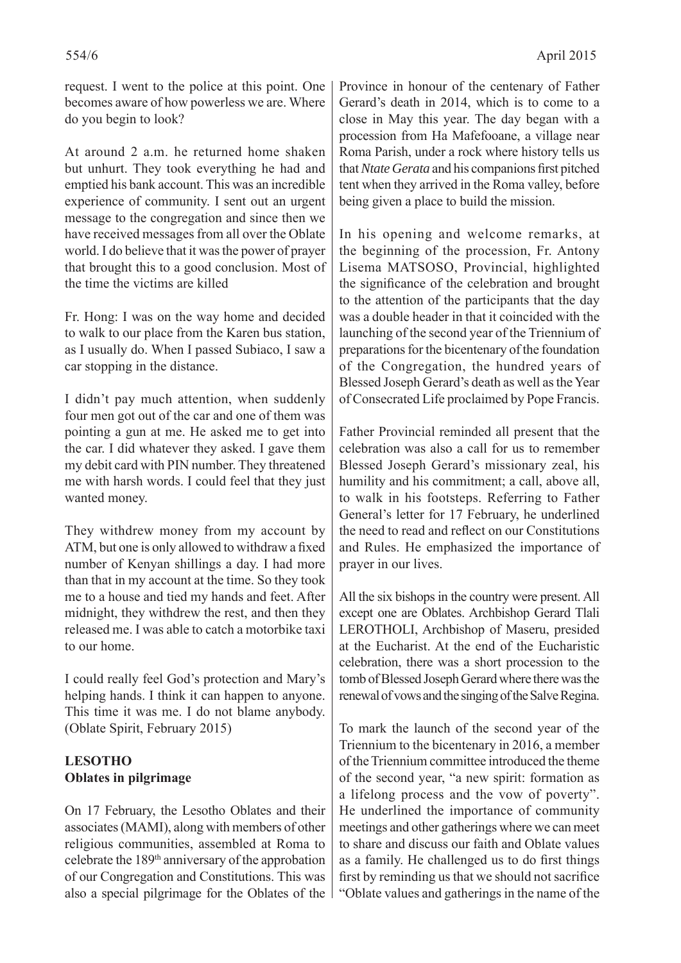request. I went to the police at this point. One becomes aware of how powerless we are. Where do you begin to look?

At around 2 a.m. he returned home shaken but unhurt. They took everything he had and emptied his bank account. This was an incredible experience of community. I sent out an urgent message to the congregation and since then we have received messages from all over the Oblate world. I do believe that it was the power of prayer that brought this to a good conclusion. Most of the time the victims are killed

Fr. Hong: I was on the way home and decided to walk to our place from the Karen bus station, as I usually do. When I passed Subiaco, I saw a car stopping in the distance.

I didn't pay much attention, when suddenly four men got out of the car and one of them was pointing a gun at me. He asked me to get into the car. I did whatever they asked. I gave them my debit card with PIN number. They threatened me with harsh words. I could feel that they just wanted money.

They withdrew money from my account by ATM, but one is only allowed to withdraw a fixed number of Kenyan shillings a day. I had more than that in my account at the time. So they took me to a house and tied my hands and feet. After midnight, they withdrew the rest, and then they released me. I was able to catch a motorbike taxi to our home.

I could really feel God's protection and Mary's helping hands. I think it can happen to anyone. This time it was me. I do not blame anybody. (Oblate Spirit, February 2015)

### **LESOTHO Oblates in pilgrimage**

On 17 February, the Lesotho Oblates and their associates (MAMI), along with members of other religious communities, assembled at Roma to celebrate the 189th anniversary of the approbation of our Congregation and Constitutions. This was also a special pilgrimage for the Oblates of the

Province in honour of the centenary of Father Gerard's death in 2014, which is to come to a close in May this year. The day began with a procession from Ha Mafefooane, a village near Roma Parish, under a rock where history tells us that *Ntate Gerata* and his companions first pitched tent when they arrived in the Roma valley, before being given a place to build the mission.

In his opening and welcome remarks, at the beginning of the procession, Fr. Antony Lisema MATSOSO, Provincial, highlighted the significance of the celebration and brought to the attention of the participants that the day was a double header in that it coincided with the launching of the second year of the Triennium of preparations for the bicentenary of the foundation of the Congregation, the hundred years of Blessed Joseph Gerard's death as well as the Year of Consecrated Life proclaimed by Pope Francis.

Father Provincial reminded all present that the celebration was also a call for us to remember Blessed Joseph Gerard's missionary zeal, his humility and his commitment; a call, above all, to walk in his footsteps. Referring to Father General's letter for 17 February, he underlined the need to read and reflect on our Constitutions and Rules. He emphasized the importance of prayer in our lives.

All the six bishops in the country were present. All except one are Oblates. Archbishop Gerard Tlali LEROTHOLI, Archbishop of Maseru, presided at the Eucharist. At the end of the Eucharistic celebration, there was a short procession to the tomb of Blessed Joseph Gerard where there was the renewal of vows and the singing of the Salve Regina.

To mark the launch of the second year of the Triennium to the bicentenary in 2016, a member of the Triennium committee introduced the theme of the second year, "a new spirit: formation as a lifelong process and the vow of poverty". He underlined the importance of community meetings and other gatherings where we can meet to share and discuss our faith and Oblate values as a family. He challenged us to do first things first by reminding us that we should not sacrifice "Oblate values and gatherings in the name of the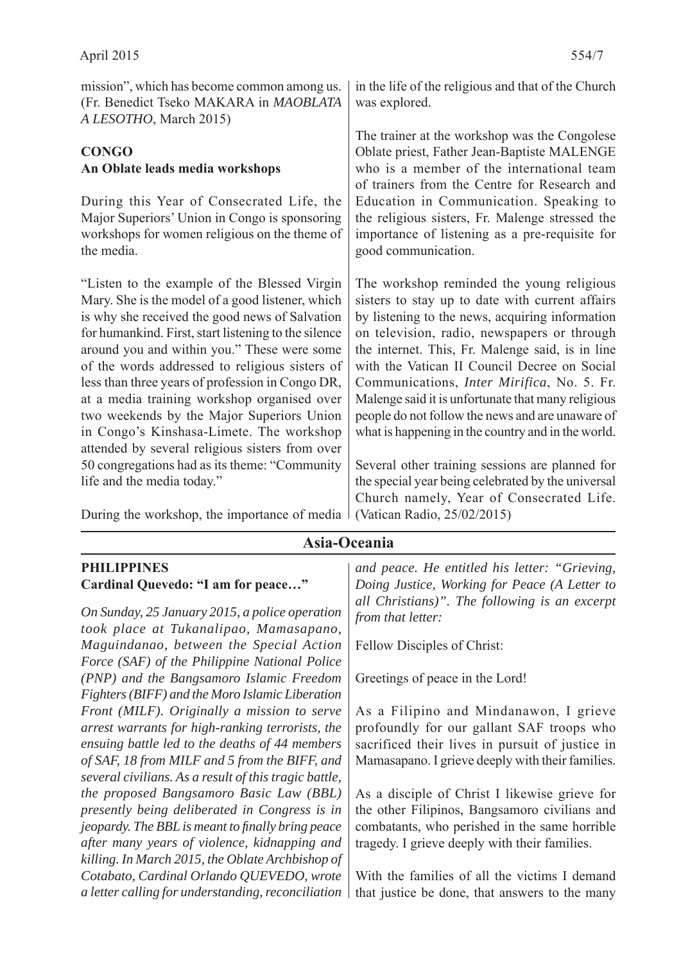| mission", which has become common among us.<br>(Fr. Benedict Tseko MAKARA in MAOBLATA<br>A LESOTHO, March 2015)                                                                                                                                                                                                                                                                                                                                                                                                                                            | in the life of the religious and that of the Church<br>was explored.                                                                                                                                                                                                                                                                                                                                                                                                                                                     |
|------------------------------------------------------------------------------------------------------------------------------------------------------------------------------------------------------------------------------------------------------------------------------------------------------------------------------------------------------------------------------------------------------------------------------------------------------------------------------------------------------------------------------------------------------------|--------------------------------------------------------------------------------------------------------------------------------------------------------------------------------------------------------------------------------------------------------------------------------------------------------------------------------------------------------------------------------------------------------------------------------------------------------------------------------------------------------------------------|
| <b>CONGO</b><br>An Oblate leads media workshops<br>During this Year of Consecrated Life, the<br>Major Superiors' Union in Congo is sponsoring<br>workshops for women religious on the theme of<br>the media.                                                                                                                                                                                                                                                                                                                                               | The trainer at the workshop was the Congolese<br>Oblate priest, Father Jean-Baptiste MALENGE<br>who is a member of the international team<br>of trainers from the Centre for Research and<br>Education in Communication. Speaking to<br>the religious sisters, Fr. Malenge stressed the<br>importance of listening as a pre-requisite for<br>good communication.                                                                                                                                                         |
| "Listen to the example of the Blessed Virgin<br>Mary. She is the model of a good listener, which<br>is why she received the good news of Salvation<br>for humankind. First, start listening to the silence<br>around you and within you." These were some<br>of the words addressed to religious sisters of<br>less than three years of profession in Congo DR,<br>at a media training workshop organised over<br>two weekends by the Major Superiors Union<br>in Congo's Kinshasa-Limete. The workshop<br>attended by several religious sisters from over | The workshop reminded the young religious<br>sisters to stay up to date with current affairs<br>by listening to the news, acquiring information<br>on television, radio, newspapers or through<br>the internet. This, Fr. Malenge said, is in line<br>with the Vatican II Council Decree on Social<br>Communications, <i>Inter Mirifica</i> , No. 5. Fr.<br>Malenge said it is unfortunate that many religious<br>people do not follow the news and are unaware of<br>what is happening in the country and in the world. |
| 50 congregations had as its theme: "Community"<br>life and the media today."                                                                                                                                                                                                                                                                                                                                                                                                                                                                               | Several other training sessions are planned for<br>the special year being celebrated by the universal<br>Church namely, Year of Consecrated Life.                                                                                                                                                                                                                                                                                                                                                                        |
| During the workshop, the importance of media                                                                                                                                                                                                                                                                                                                                                                                                                                                                                                               | (Vatican Radio, 25/02/2015)                                                                                                                                                                                                                                                                                                                                                                                                                                                                                              |

## **Asia-Oceania**

#### **PHILIPPINES Cardinal Quevedo: "I am for peace…"**

*On Sunday, 25 January 2015, a police operation took place at Tukanalipao, Mamasapano, Maguindanao, between the Special Action Force (SAF) of the Philippine National Police (PNP) and the Bangsamoro Islamic Freedom Fighters (BIFF) and the Moro Islamic Liberation Front (MILF). Originally a mission to serve arrest warrants for high-ranking terrorists, the ensuing battle led to the deaths of 44 members of SAF, 18 from MILF and 5 from the BIFF, and several civilians. As a result of this tragic battle, the proposed Bangsamoro Basic Law (BBL) presently being deliberated in Congress is in jeopardy. The BBL is meant to finally bring peace after many years of violence, kidnapping and killing. In March 2015, the Oblate Archbishop of Cotabato, Cardinal Orlando QUEVEDO, wrote a letter calling for understanding, reconciliation* 

*and peace. He entitled his letter: "Grieving, Doing Justice, Working for Peace (A Letter to all Christians)". The following is an excerpt from that letter:*

Fellow Disciples of Christ:

Greetings of peace in the Lord!

As a Filipino and Mindanawon, I grieve profoundly for our gallant SAF troops who sacrificed their lives in pursuit of justice in Mamasapano. I grieve deeply with their families.

As a disciple of Christ I likewise grieve for the other Filipinos, Bangsamoro civilians and combatants, who perished in the same horrible tragedy. I grieve deeply with their families.

With the families of all the victims I demand that justice be done, that answers to the many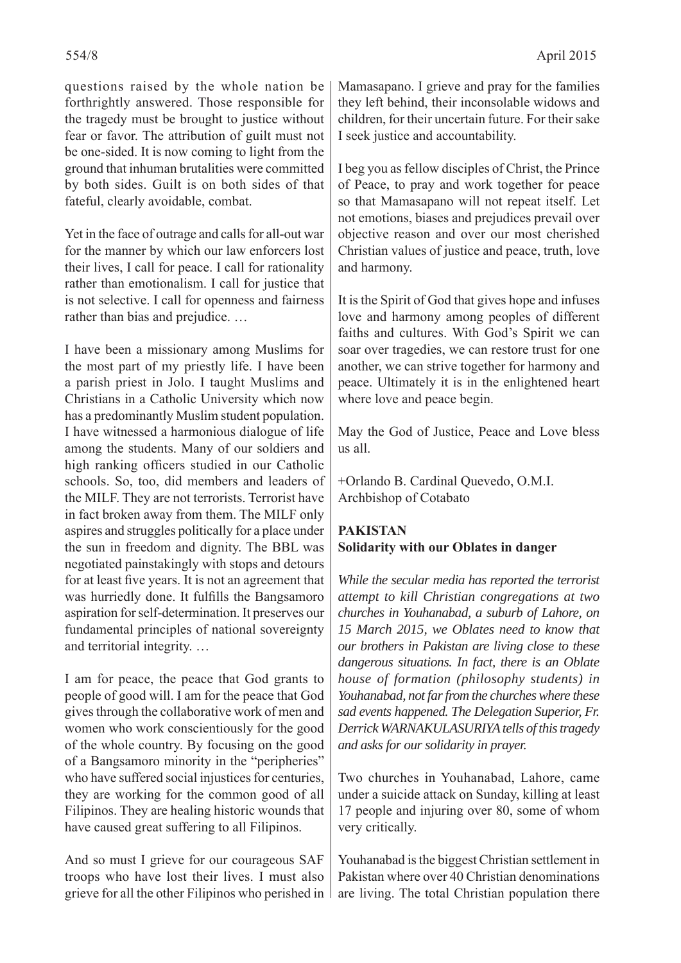questions raised by the whole nation be forthrightly answered. Those responsible for the tragedy must be brought to justice without fear or favor. The attribution of guilt must not be one-sided. It is now coming to light from the ground that inhuman brutalities were committed by both sides. Guilt is on both sides of that fateful, clearly avoidable, combat.

Yet in the face of outrage and calls for all-out war for the manner by which our law enforcers lost their lives, I call for peace. I call for rationality rather than emotionalism. I call for justice that is not selective. I call for openness and fairness rather than bias and prejudice. …

I have been a missionary among Muslims for the most part of my priestly life. I have been a parish priest in Jolo. I taught Muslims and Christians in a Catholic University which now has a predominantly Muslim student population. I have witnessed a harmonious dialogue of life among the students. Many of our soldiers and high ranking officers studied in our Catholic schools. So, too, did members and leaders of the MILF. They are not terrorists. Terrorist have in fact broken away from them. The MILF only aspires and struggles politically for a place under the sun in freedom and dignity. The BBL was negotiated painstakingly with stops and detours for at least five years. It is not an agreement that was hurriedly done. It fulfills the Bangsamoro aspiration for self-determination. It preserves our fundamental principles of national sovereignty and territorial integrity. …

I am for peace, the peace that God grants to people of good will. I am for the peace that God gives through the collaborative work of men and women who work conscientiously for the good of the whole country. By focusing on the good of a Bangsamoro minority in the "peripheries" who have suffered social injustices for centuries, they are working for the common good of all Filipinos. They are healing historic wounds that have caused great suffering to all Filipinos.

And so must I grieve for our courageous SAF troops who have lost their lives. I must also grieve for all the other Filipinos who perished in Mamasapano. I grieve and pray for the families they left behind, their inconsolable widows and children, for their uncertain future. For their sake I seek justice and accountability.

I beg you as fellow disciples of Christ, the Prince of Peace, to pray and work together for peace so that Mamasapano will not repeat itself. Let not emotions, biases and prejudices prevail over objective reason and over our most cherished Christian values of justice and peace, truth, love and harmony.

It is the Spirit of God that gives hope and infuses love and harmony among peoples of different faiths and cultures. With God's Spirit we can soar over tragedies, we can restore trust for one another, we can strive together for harmony and peace. Ultimately it is in the enlightened heart where love and peace begin.

May the God of Justice, Peace and Love bless us all.

+Orlando B. Cardinal Quevedo, O.M.I. Archbishop of Cotabato

## **PAKISTAN Solidarity with our Oblates in danger**

*While the secular media has reported the terrorist attempt to kill Christian congregations at two churches in Youhanabad, a suburb of Lahore, on 15 March 2015, we Oblates need to know that our brothers in Pakistan are living close to these dangerous situations. In fact, there is an Oblate house of formation (philosophy students) in Youhanabad, not far from the churches where these sad events happened. The Delegation Superior, Fr. Derrick WARNAKULASURIYA tells of this tragedy and asks for our solidarity in prayer.*

Two churches in Youhanabad, Lahore, came under a suicide attack on Sunday, killing at least 17 people and injuring over 80, some of whom very critically.

Youhanabad is the biggest Christian settlement in Pakistan where over 40 Christian denominations are living. The total Christian population there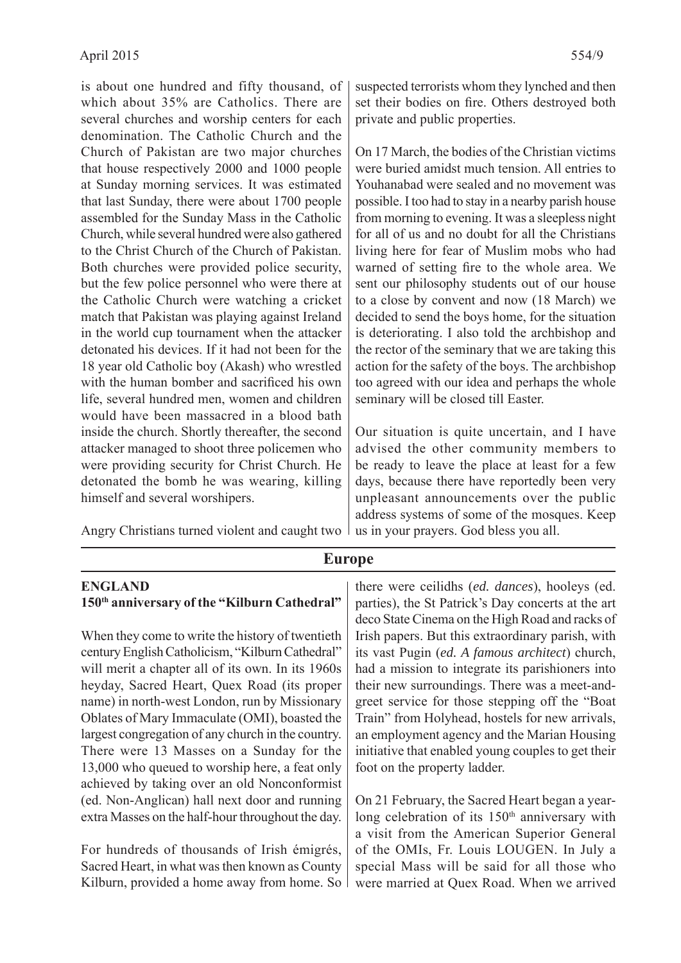is about one hundred and fifty thousand, of which about 35% are Catholics. There are several churches and worship centers for each denomination. The Catholic Church and the Church of Pakistan are two major churches that house respectively 2000 and 1000 people at Sunday morning services. It was estimated that last Sunday, there were about 1700 people assembled for the Sunday Mass in the Catholic Church, while several hundred were also gathered to the Christ Church of the Church of Pakistan. Both churches were provided police security, but the few police personnel who were there at the Catholic Church were watching a cricket match that Pakistan was playing against Ireland in the world cup tournament when the attacker detonated his devices. If it had not been for the 18 year old Catholic boy (Akash) who wrestled with the human bomber and sacrificed his own life, several hundred men, women and children would have been massacred in a blood bath inside the church. Shortly thereafter, the second attacker managed to shoot three policemen who were providing security for Christ Church. He detonated the bomb he was wearing, killing himself and several worshipers.

Angry Christians turned violent and caught two

**ENGLAND 150th anniversary of the "Kilburn Cathedral"**

When they come to write the history of twentieth century English Catholicism, "Kilburn Cathedral" will merit a chapter all of its own. In its 1960s heyday, Sacred Heart, Quex Road (its proper name) in north-west London, run by Missionary Oblates of Mary Immaculate (OMI), boasted the largest congregation of any church in the country. There were 13 Masses on a Sunday for the 13,000 who queued to worship here, a feat only achieved by taking over an old Nonconformist (ed. Non-Anglican) hall next door and running extra Masses on the half-hour throughout the day.

For hundreds of thousands of Irish émigrés, Sacred Heart, in what was then known as County Kilburn, provided a home away from home. So

On 17 March, the bodies of the Christian victims were buried amidst much tension. All entries to Youhanabad were sealed and no movement was possible. I too had to stay in a nearby parish house from morning to evening. It was a sleepless night for all of us and no doubt for all the Christians living here for fear of Muslim mobs who had warned of setting fire to the whole area. We sent our philosophy students out of our house to a close by convent and now (18 March) we decided to send the boys home, for the situation is deteriorating. I also told the archbishop and the rector of the seminary that we are taking this action for the safety of the boys. The archbishop too agreed with our idea and perhaps the whole seminary will be closed till Easter.

Our situation is quite uncertain, and I have advised the other community members to be ready to leave the place at least for a few days, because there have reportedly been very unpleasant announcements over the public address systems of some of the mosques. Keep us in your prayers. God bless you all.

**Europe**

there were ceilidhs (*ed. dances*), hooleys (ed. parties), the St Patrick's Day concerts at the art deco State Cinema on the High Road and racks of Irish papers. But this extraordinary parish, with its vast Pugin (*ed. A famous architect*) church, had a mission to integrate its parishioners into their new surroundings. There was a meet-andgreet service for those stepping off the "Boat Train" from Holyhead, hostels for new arrivals, an employment agency and the Marian Housing initiative that enabled young couples to get their foot on the property ladder.

On 21 February, the Sacred Heart began a yearlong celebration of its 150<sup>th</sup> anniversary with a visit from the American Superior General of the OMIs, Fr. Louis LOUGEN. In July a special Mass will be said for all those who were married at Quex Road. When we arrived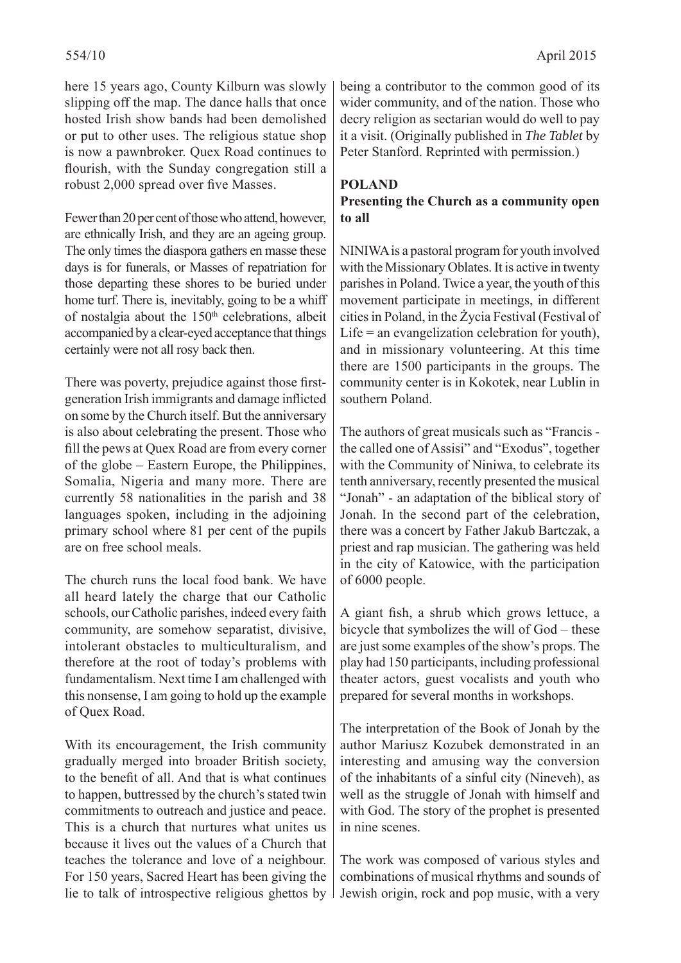here 15 years ago, County Kilburn was slowly slipping off the map. The dance halls that once hosted Irish show bands had been demolished or put to other uses. The religious statue shop is now a pawnbroker. Quex Road continues to flourish, with the Sunday congregation still a robust 2,000 spread over five Masses.

Fewer than 20 per cent of those who attend, however, are ethnically Irish, and they are an ageing group. The only times the diaspora gathers en masse these days is for funerals, or Masses of repatriation for those departing these shores to be buried under home turf. There is, inevitably, going to be a whiff of nostalgia about the  $150<sup>th</sup>$  celebrations, albeit accompanied by a clear-eyed acceptance that things certainly were not all rosy back then.

There was poverty, prejudice against those firstgeneration Irish immigrants and damage inflicted on some by the Church itself. But the anniversary is also about celebrating the present. Those who fill the pews at Quex Road are from every corner of the globe – Eastern Europe, the Philippines, Somalia, Nigeria and many more. There are currently 58 nationalities in the parish and 38 languages spoken, including in the adjoining primary school where 81 per cent of the pupils are on free school meals.

The church runs the local food bank. We have all heard lately the charge that our Catholic schools, our Catholic parishes, indeed every faith community, are somehow separatist, divisive, intolerant obstacles to multiculturalism, and therefore at the root of today's problems with fundamentalism. Next time I am challenged with this nonsense, I am going to hold up the example of Quex Road.

With its encouragement, the Irish community gradually merged into broader British society, to the benefit of all. And that is what continues to happen, buttressed by the church's stated twin commitments to outreach and justice and peace. This is a church that nurtures what unites us because it lives out the values of a Church that teaches the tolerance and love of a neighbour. For 150 years, Sacred Heart has been giving the lie to talk of introspective religious ghettos by being a contributor to the common good of its wider community, and of the nation. Those who decry religion as sectarian would do well to pay it a visit. (Originally published in *The Tablet* by Peter Stanford. Reprinted with permission.)

### **POLAND**

#### **Presenting the Church as a community open to all**

NINIWA is a pastoral program for youth involved with the Missionary Oblates. It is active in twenty parishes in Poland. Twice a year, the youth of this movement participate in meetings, in different cities in Poland, in the Życia Festival (Festival of Life  $=$  an evangelization celebration for youth), and in missionary volunteering. At this time there are 1500 participants in the groups. The community center is in Kokotek, near Lublin in southern Poland.

The authors of great musicals such as "Francis the called one of Assisi" and "Exodus", together with the Community of Niniwa, to celebrate its tenth anniversary, recently presented the musical "Jonah" - an adaptation of the biblical story of Jonah. In the second part of the celebration, there was a concert by Father Jakub Bartczak, a priest and rap musician. The gathering was held in the city of Katowice, with the participation of 6000 people.

A giant fish, a shrub which grows lettuce, a bicycle that symbolizes the will of God – these are just some examples of the show's props. The play had 150 participants, including professional theater actors, guest vocalists and youth who prepared for several months in workshops.

The interpretation of the Book of Jonah by the author Mariusz Kozubek demonstrated in an interesting and amusing way the conversion of the inhabitants of a sinful city (Nineveh), as well as the struggle of Jonah with himself and with God. The story of the prophet is presented in nine scenes.

The work was composed of various styles and combinations of musical rhythms and sounds of Jewish origin, rock and pop music, with a very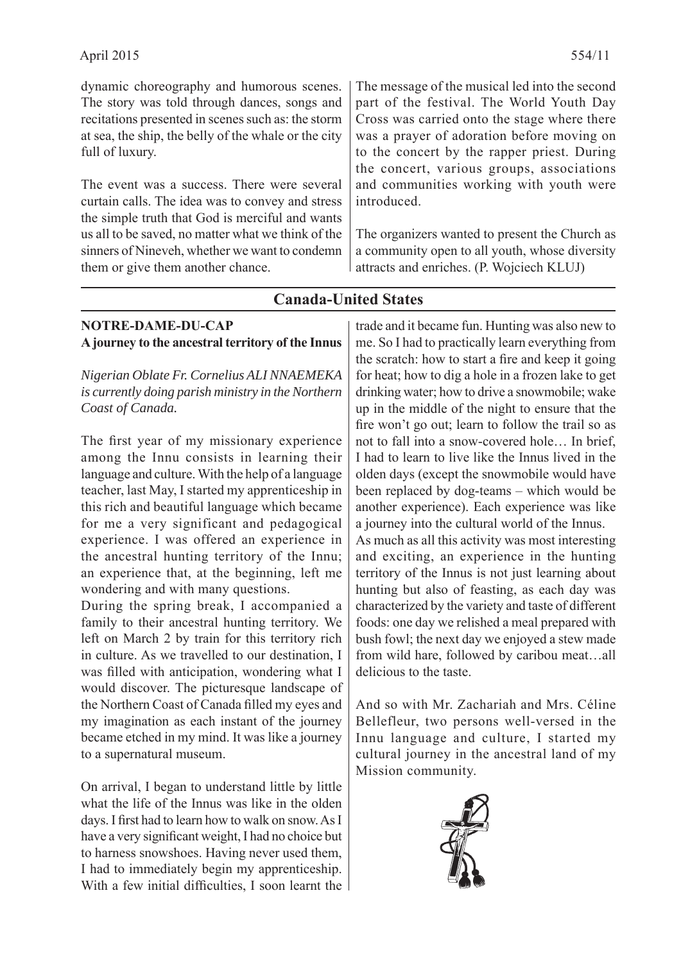dynamic choreography and humorous scenes. The story was told through dances, songs and recitations presented in scenes such as: the storm at sea, the ship, the belly of the whale or the city full of luxury.

The event was a success. There were several curtain calls. The idea was to convey and stress the simple truth that God is merciful and wants us all to be saved, no matter what we think of the sinners of Nineveh, whether we want to condemn them or give them another chance.

The message of the musical led into the second part of the festival. The World Youth Day Cross was carried onto the stage where there was a prayer of adoration before moving on to the concert by the rapper priest. During the concert, various groups, associations and communities working with youth were introduced.

The organizers wanted to present the Church as a community open to all youth, whose diversity attracts and enriches. (P. Wojciech KLUJ)

# **NOTRE-DAME-DU-CAP A journey to the ancestral territory of the Innus** *Nigerian Oblate Fr. Cornelius ALI NNAEMEKA is currently doing parish ministry in the Northern Coast of Canada.*

The first year of my missionary experience among the Innu consists in learning their language and culture. With the help of a language teacher, last May, I started my apprenticeship in this rich and beautiful language which became for me a very significant and pedagogical experience. I was offered an experience in the ancestral hunting territory of the Innu; an experience that, at the beginning, left me wondering and with many questions.

During the spring break, I accompanied a family to their ancestral hunting territory. We left on March 2 by train for this territory rich in culture. As we travelled to our destination, I was filled with anticipation, wondering what I would discover. The picturesque landscape of the Northern Coast of Canada filled my eyes and my imagination as each instant of the journey became etched in my mind. It was like a journey to a supernatural museum.

On arrival, I began to understand little by little what the life of the Innus was like in the olden days. I first had to learn how to walk on snow. As I have a very significant weight, I had no choice but to harness snowshoes. Having never used them, I had to immediately begin my apprenticeship. With a few initial difficulties, I soon learnt the trade and it became fun. Hunting was also new to me. So I had to practically learn everything from the scratch: how to start a fire and keep it going for heat; how to dig a hole in a frozen lake to get drinking water; how to drive a snowmobile; wake up in the middle of the night to ensure that the fire won't go out; learn to follow the trail so as not to fall into a snow-covered hole… In brief, I had to learn to live like the Innus lived in the olden days (except the snowmobile would have been replaced by dog-teams – which would be another experience). Each experience was like a journey into the cultural world of the Innus. As much as all this activity was most interesting and exciting, an experience in the hunting territory of the Innus is not just learning about hunting but also of feasting, as each day was characterized by the variety and taste of different foods: one day we relished a meal prepared with bush fowl; the next day we enjoyed a stew made from wild hare, followed by caribou meat…all delicious to the taste.

And so with Mr. Zachariah and Mrs. Céline Bellefleur, two persons well-versed in the Innu language and culture, I started my cultural journey in the ancestral land of my Mission community.



#### **Canada-United States**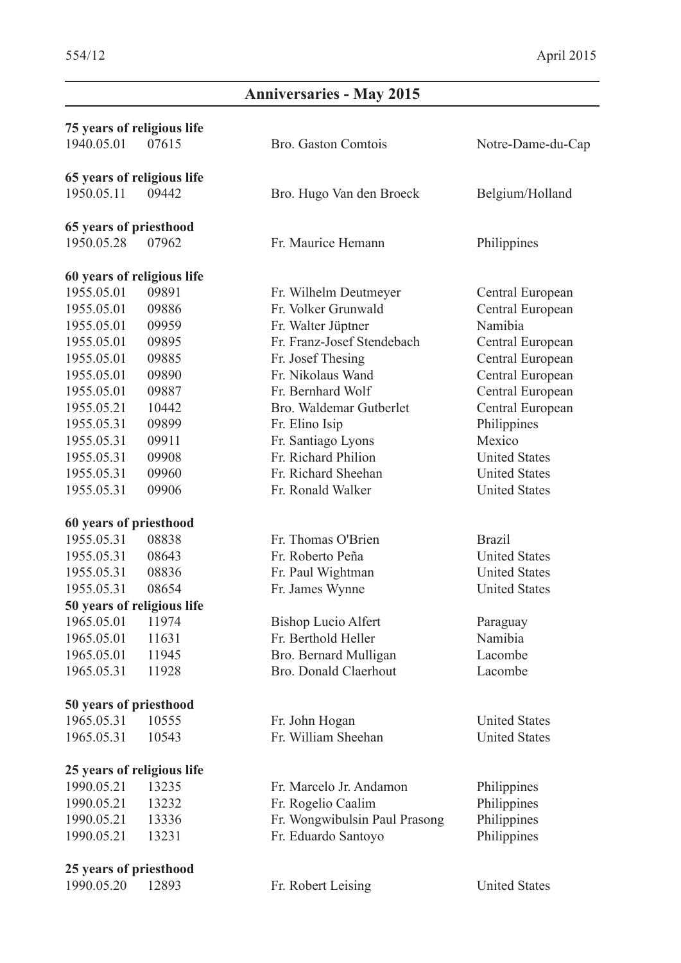# **Anniversaries - May 2015**

| 75 years of religious life |       |                                       |                      |
|----------------------------|-------|---------------------------------------|----------------------|
| 1940.05.01                 | 07615 | Bro. Gaston Comtois                   | Notre-Dame-du-Cap    |
| 65 years of religious life |       |                                       |                      |
| 1950.05.11                 | 09442 | Bro. Hugo Van den Broeck              | Belgium/Holland      |
| 65 years of priesthood     |       |                                       |                      |
| 1950.05.28                 | 07962 | Fr. Maurice Hemann                    | Philippines          |
| 60 years of religious life |       |                                       |                      |
| 1955.05.01                 | 09891 | Fr. Wilhelm Deutmeyer                 | Central European     |
| 1955.05.01                 | 09886 | Fr. Volker Grunwald                   | Central European     |
| 1955.05.01                 | 09959 | Namibia<br>Fr. Walter Jüptner         |                      |
| 1955.05.01                 | 09895 | Fr. Franz-Josef Stendebach            | Central European     |
| 1955.05.01                 | 09885 | Fr. Josef Thesing                     | Central European     |
| 1955.05.01                 | 09890 | Fr. Nikolaus Wand<br>Central European |                      |
| 1955.05.01                 | 09887 | Fr. Bernhard Wolf                     | Central European     |
| 1955.05.21                 | 10442 | Bro. Waldemar Gutberlet               | Central European     |
| 1955.05.31                 | 09899 | Fr. Elino Isip                        | Philippines          |
| 1955.05.31                 | 09911 | Fr. Santiago Lyons                    | Mexico               |
| 1955.05.31                 | 09908 | Fr. Richard Philion                   | <b>United States</b> |
| 1955.05.31                 | 09960 | Fr. Richard Sheehan                   | <b>United States</b> |
| 1955.05.31                 | 09906 | Fr. Ronald Walker                     | <b>United States</b> |
| 60 years of priesthood     |       |                                       |                      |
| 1955.05.31                 | 08838 | Fr. Thomas O'Brien                    | <b>Brazil</b>        |
| 1955.05.31                 | 08643 | Fr. Roberto Peña                      | <b>United States</b> |
| 1955.05.31                 | 08836 | Fr. Paul Wightman                     | <b>United States</b> |
| 1955.05.31                 | 08654 | Fr. James Wynne                       | <b>United States</b> |
| 50 years of religious life |       |                                       |                      |
| 1965.05.01                 | 11974 | <b>Bishop Lucio Alfert</b>            | Paraguay             |
| 1965.05.01                 | 11631 | Fr. Berthold Heller                   | Namibia              |
| 1965.05.01                 | 11945 | Bro. Bernard Mulligan                 | Lacombe              |
| 1965.05.31                 | 11928 | Bro. Donald Claerhout                 | Lacombe              |
| 50 years of priesthood     |       |                                       |                      |
| 1965.05.31                 | 10555 | Fr. John Hogan                        | <b>United States</b> |
| 1965.05.31                 | 10543 | Fr. William Sheehan                   | <b>United States</b> |
| 25 years of religious life |       |                                       |                      |
| 1990.05.21                 | 13235 | Fr. Marcelo Jr. Andamon               | Philippines          |
| 1990.05.21                 | 13232 | Fr. Rogelio Caalim                    | Philippines          |
| 1990.05.21                 | 13336 | Fr. Wongwibulsin Paul Prasong         | Philippines          |
| 1990.05.21                 | 13231 | Fr. Eduardo Santoyo                   | Philippines          |
| 25 years of priesthood     |       |                                       |                      |
| 1990.05.20                 | 12893 | Fr. Robert Leising                    | <b>United States</b> |